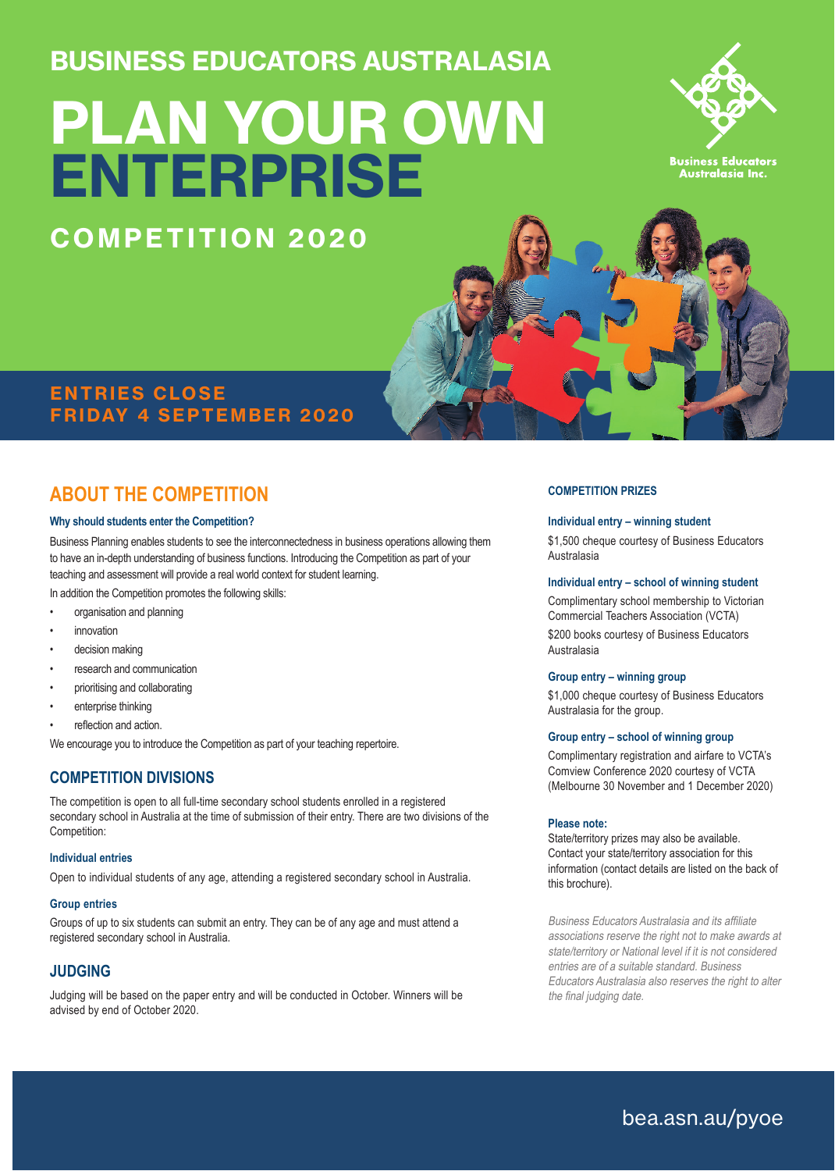BUSINESS EDUCATORS AUSTRALASIA

# PLAN YOUR OWN **ENTERPRISE**



**Business Educators**<br>Australasia Inc.

### ENTRIES CLOSE FRIDAY 4 SEPTEMBER 2020

COMPETITION 2020

## **ABOUT THE COMPETITION**

#### **Why should students enter the Competition?**

Business Planning enables students to see the interconnectedness in business operations allowing them to have an in-depth understanding of business functions. Introducing the Competition as part of your teaching and assessment will provide a real world context for student learning.

In addition the Competition promotes the following skills:

- organisation and planning
- *innovation*
- decision making
- research and communication
- prioritising and collaborating
- enterprise thinking
- reflection and action.

We encourage you to introduce the Competition as part of your teaching repertoire.

#### **COMPETITION DIVISIONS**

The competition is open to all full-time secondary school students enrolled in a registered secondary school in Australia at the time of submission of their entry. There are two divisions of the Competition:

#### **Individual entries**

Open to individual students of any age, attending a registered secondary school in Australia.

#### **Group entries**

Groups of up to six students can submit an entry. They can be of any age and must attend a registered secondary school in Australia.

#### **JUDGING**

Judging will be based on the paper entry and will be conducted in October. Winners will be advised by end of October 2020.

#### **COMPETITION PRIZES**

#### **Individual entry – winning student**

\$1,500 cheque courtesy of Business Educators Australasia

#### **Individual entry – school of winning student**

Complimentary school membership to Victorian Commercial Teachers Association (VCTA) \$200 books courtesy of Business Educators Australasia

#### **Group entry – winning group**

\$1,000 cheque courtesy of Business Educators Australasia for the group.

#### **Group entry – school of winning group**

Complimentary registration and airfare to VCTA's Comview Conference 2020 courtesy of VCTA (Melbourne 30 November and 1 December 2020)

#### **Please note:**

State/territory prizes may also be available. Contact your state/territory association for this information (contact details are listed on the back of this brochure).

Business Educators Australasia and its affiliate associations reserve the right not to make awards at state/territory or National level if it is not considered entries are of a suitable standard. Business Educators Australasia also reserves the right to alter the final judging date.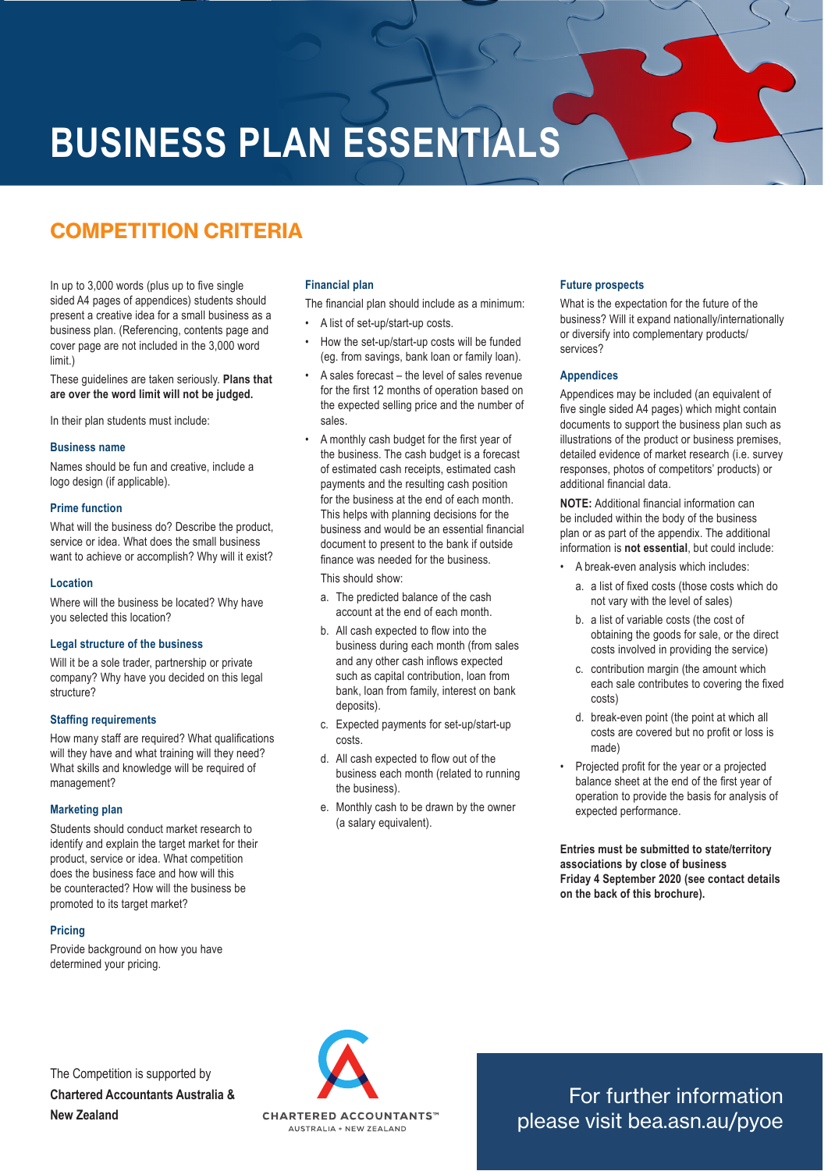## **BUSINESS PLAN ESSENTIALS**

## COMPETITION CRITERIA

In up to 3,000 words (plus up to five single sided A4 pages of appendices) students should present a creative idea for a small business as a business plan. (Referencing, contents page and cover page are not included in the 3,000 word limit.)

These guidelines are taken seriously. **Plans that are over the word limit will not be judged.**

In their plan students must include:

#### **Business name**

Names should be fun and creative, include a logo design (if applicable).

#### **Prime function**

What will the business do? Describe the product, service or idea. What does the small business want to achieve or accomplish? Why will it exist?

#### **Location**

Where will the business be located? Why have you selected this location?

#### **Legal structure of the business**

Will it be a sole trader, partnership or private company? Why have you decided on this legal structure?

#### **Staffing requirements**

How many staff are required? What qualifications will they have and what training will they need? What skills and knowledge will be required of management?

#### **Marketing plan**

Students should conduct market research to identify and explain the target market for their product, service or idea. What competition does the business face and how will this be counteracted? How will the business be promoted to its target market?

#### **Pricing**

Provide background on how you have determined your pricing.

#### **Financial plan**

The financial plan should include as a minimum:

- A list of set-up/start-up costs.
- How the set-up/start-up costs will be funded (eg. from savings, bank loan or family loan).
- A sales forecast the level of sales revenue for the first 12 months of operation based on the expected selling price and the number of sales.
- A monthly cash budget for the first year of the business. The cash budget is a forecast of estimated cash receipts, estimated cash payments and the resulting cash position for the business at the end of each month. This helps with planning decisions for the business and would be an essential financial document to present to the bank if outside finance was needed for the business.

This should show:

- a. The predicted balance of the cash account at the end of each month.
- b. All cash expected to flow into the business during each month (from sales and any other cash inflows expected such as capital contribution, loan from bank, loan from family, interest on bank deposits).
- c. Expected payments for set-up/start-up costs.
- d. All cash expected to flow out of the business each month (related to running the business).
- e. Monthly cash to be drawn by the owner (a salary equivalent).

#### **Future prospects**

What is the expectation for the future of the business? Will it expand nationally/internationally or diversify into complementary products/ services?

#### **Appendices**

Appendices may be included (an equivalent of five single sided A4 pages) which might contain documents to support the business plan such as illustrations of the product or business premises, detailed evidence of market research (i.e. survey responses, photos of competitors' products) or additional financial data.

**NOTE:** Additional financial information can be included within the body of the business plan or as part of the appendix. The additional information is **not essential**, but could include:

- A break-even analysis which includes:
	- a. a list of fixed costs (those costs which do not vary with the level of sales)
	- b. a list of variable costs (the cost of obtaining the goods for sale, or the direct costs involved in providing the service)
	- c. contribution margin (the amount which each sale contributes to covering the fixed costs)
	- d. break-even point (the point at which all costs are covered but no profit or loss is made)
- Projected profit for the year or a projected balance sheet at the end of the first year of operation to provide the basis for analysis of expected performance.

**Entries must be submitted to state/territory associations by close of business Friday 4 September 2020 (see contact details on the back of this brochure).**

The Competition is supported by **Chartered Accountants Australia & New Zealand**



For further information please visit bea.asn.au/pyoe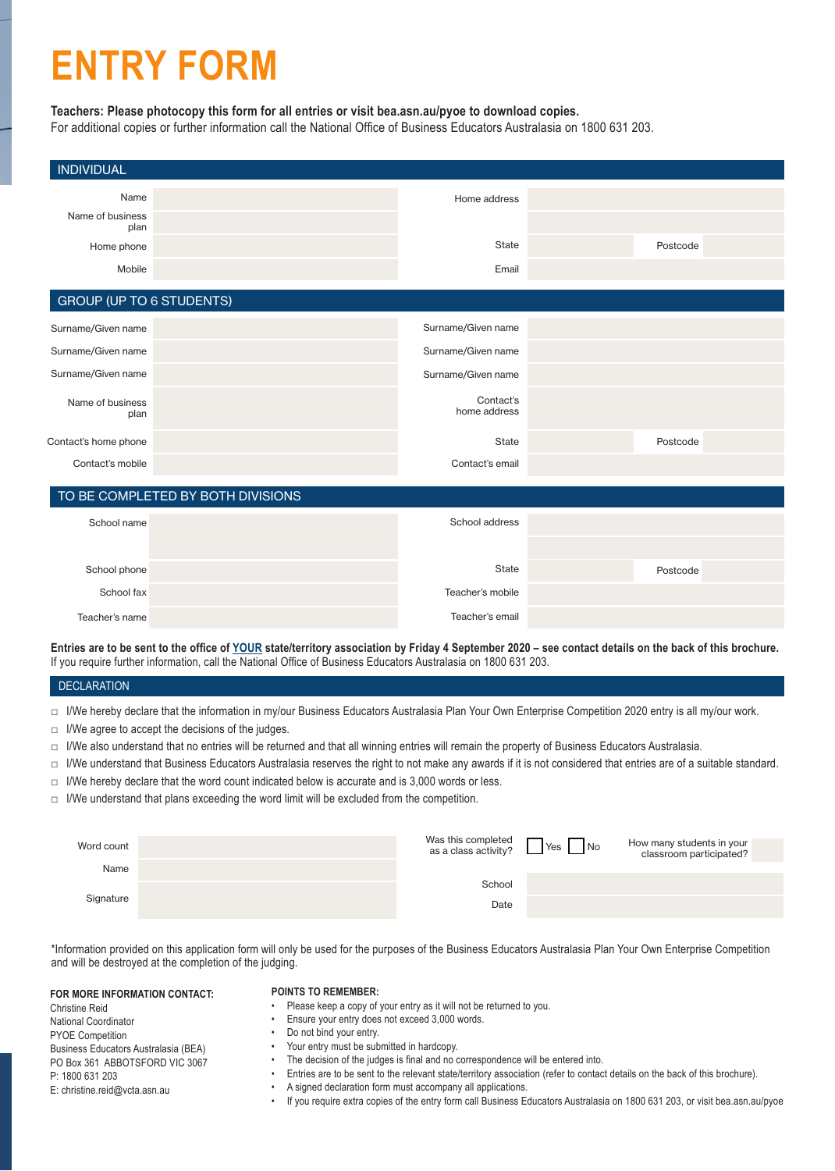## **ENTRY FORM**

#### **Teachers: Please photocopy this form for all entries or visit bea.asn.au/pyoe to download copies.**

For additional copies or further information call the National Office of Business Educators Australasia on 1800 631 203.

| <b>INDIVIDUAL</b>                |                                   |                           |          |
|----------------------------------|-----------------------------------|---------------------------|----------|
| Name<br>Name of business<br>plan |                                   | Home address              |          |
| Home phone                       |                                   | State                     | Postcode |
| Mobile                           |                                   | Email                     |          |
| <b>GROUP (UP TO 6 STUDENTS)</b>  |                                   |                           |          |
| Surname/Given name               |                                   | Surname/Given name        |          |
| Surname/Given name               |                                   | Surname/Given name        |          |
| Surname/Given name               |                                   | Surname/Given name        |          |
| Name of business<br>plan         |                                   | Contact's<br>home address |          |
| Contact's home phone             |                                   | State                     | Postcode |
| Contact's mobile                 |                                   | Contact's email           |          |
|                                  | TO BE COMPLETED BY BOTH DIVISIONS |                           |          |
| School name                      |                                   | School address            |          |
|                                  |                                   |                           |          |
| School phone                     |                                   | State                     | Postcode |
| School fax                       |                                   | Teacher's mobile          |          |
| Teacher's name                   |                                   | Teacher's email           |          |

**Entries are to be sent to the office of YOUR state/territory association by Friday 4 September 2020 – see contact details on the back of this brochure.**  If you require further information, call the National Office of Business Educators Australasia on 1800 631 203.

#### DECLARATION

- □ I/We hereby declare that the information in my/our Business Educators Australasia Plan Your Own Enterprise Competition 2020 entry is all my/our work.
- $\Box$  I/We agree to accept the decisions of the judges.
- □ I/We also understand that no entries will be returned and that all winning entries will remain the property of Business Educators Australasia.
- □ I/We understand that Business Educators Australasia reserves the right to not make any awards if it is not considered that entries are of a suitable standard.
- $\Box$  I/We hereby declare that the word count indicated below is accurate and is 3,000 words or less.
- □ I/We understand that plans exceeding the word limit will be excluded from the competition.

| Word count | Was this completed<br>as a class activity? | $\n  N$<br>Yes I | How many students in your<br>classroom participated? |
|------------|--------------------------------------------|------------------|------------------------------------------------------|
| Name       |                                            |                  |                                                      |
| Signature  | School                                     |                  |                                                      |
|            | Date                                       |                  |                                                      |
|            |                                            |                  |                                                      |

\*Information provided on this application form will only be used for the purposes of the Business Educators Australasia Plan Your Own Enterprise Competition and will be destroyed at the completion of the judging.

#### **FOR MORE INFORMATION CONTACT:**

#### **POINTS TO REMEMBER:**

- Please keep a copy of your entry as it will not be returned to you.
- Ensure your entry does not exceed 3,000 words.
- Do not bind your entry.
- Your entry must be submitted in hardcopy.
- The decision of the judges is final and no correspondence will be entered into.
	- Entries are to be sent to the relevant state/territory association (refer to contact details on the back of this brochure).
- A signed declaration form must accompany all applications.
- If you require extra copies of the entry form call Business Educators Australasia on 1800 631 203, or visit bea.asn.au/pyoe

Christine Reid National Coordinator PYOE Competition Business Educators Australasia (BEA) PO Box 361 ABBOTSFORD VIC 3067 P: 1800 631 203 E: christine.reid@vcta.asn.au